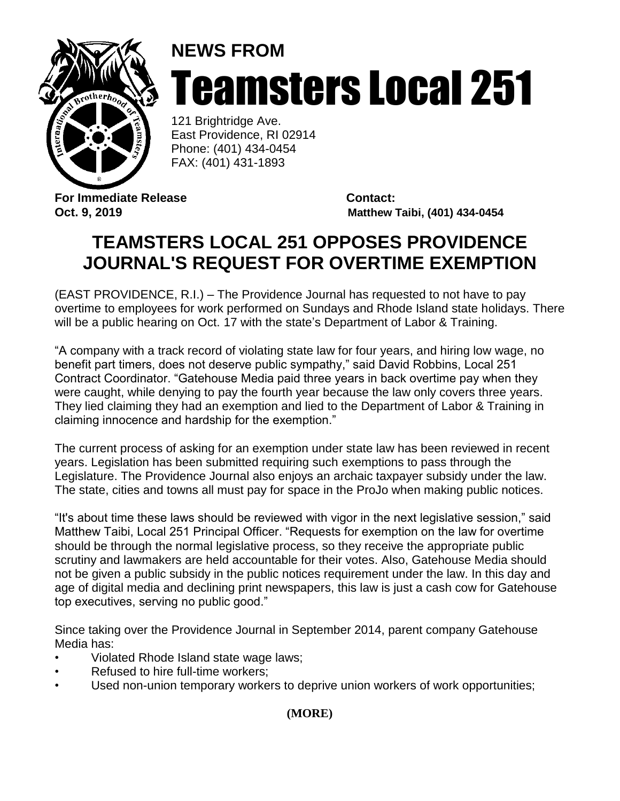

## **NEWS FROM** Teamsters Local 251

121 Brightridge Ave. East Providence, RI 02914 Phone: (401) 434-0454 FAX: (401) 431-1893

**For Immediate Release Contact:**

**Oct. 9, 2019 Matthew Taibi, (401) 434-0454**

## **TEAMSTERS LOCAL 251 OPPOSES PROVIDENCE JOURNAL'S REQUEST FOR OVERTIME EXEMPTION**

(EAST PROVIDENCE, R.I.) – The Providence Journal has requested to not have to pay overtime to employees for work performed on Sundays and Rhode Island state holidays. There will be a public hearing on Oct. 17 with the state's Department of Labor & Training.

"A company with a track record of violating state law for four years, and hiring low wage, no benefit part timers, does not deserve public sympathy," said David Robbins, Local 251 Contract Coordinator. "Gatehouse Media paid three years in back overtime pay when they were caught, while denying to pay the fourth year because the law only covers three years. They lied claiming they had an exemption and lied to the Department of Labor & Training in claiming innocence and hardship for the exemption."

The current process of asking for an exemption under state law has been reviewed in recent years. Legislation has been submitted requiring such exemptions to pass through the Legislature. The Providence Journal also enjoys an archaic taxpayer subsidy under the law. The state, cities and towns all must pay for space in the ProJo when making public notices.

"It's about time these laws should be reviewed with vigor in the next legislative session," said Matthew Taibi, Local 251 Principal Officer. "Requests for exemption on the law for overtime should be through the normal legislative process, so they receive the appropriate public scrutiny and lawmakers are held accountable for their votes. Also, Gatehouse Media should not be given a public subsidy in the public notices requirement under the law. In this day and age of digital media and declining print newspapers, this law is just a cash cow for Gatehouse top executives, serving no public good."

Since taking over the Providence Journal in September 2014, parent company Gatehouse Media has:

- Violated Rhode Island state wage laws;
- Refused to hire full-time workers;
- Used non-union temporary workers to deprive union workers of work opportunities;

**(MORE)**